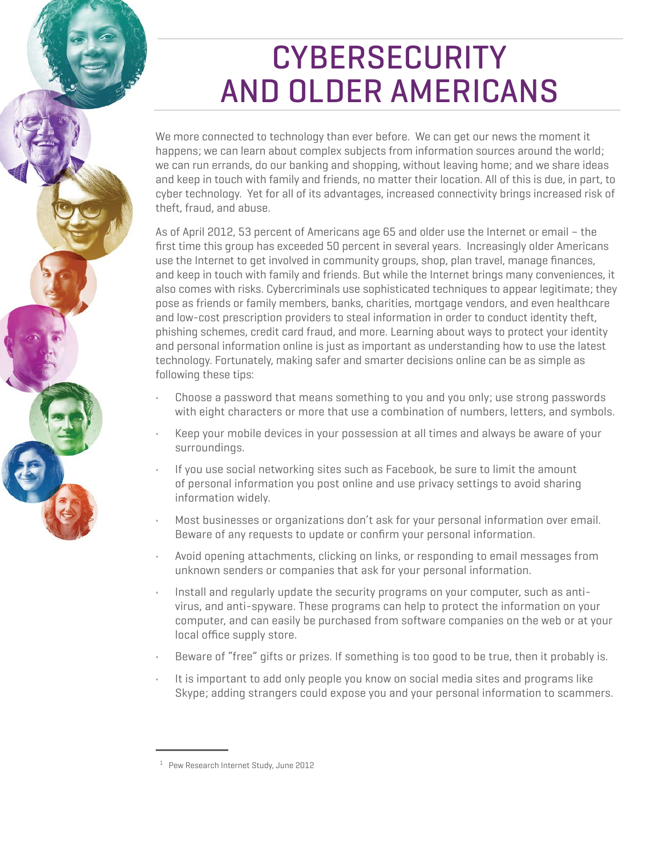# **CYBERSECURITY** AND OLDER AMERICANS

We more connected to technology than ever before. We can get our news the moment it happens; we can learn about complex subjects from information sources around the world; we can run errands, do our banking and shopping, without leaving home; and we share ideas and keep in touch with family and friends, no matter their location. All of this is due, in part, to cyber technology. Yet for all of its advantages, increased connectivity brings increased risk of theft, fraud, and abuse.

As of April 2012, 53 percent of Americans age 65 and older use the Internet or email – the first time this group has exceeded 50 percent in several years. Increasingly older Americans use the Internet to get involved in community groups, shop, plan travel, manage finances, and keep in touch with family and friends. But while the Internet brings many conveniences, it also comes with risks. Cybercriminals use sophisticated techniques to appear legitimate; they pose as friends or family members, banks, charities, mortgage vendors, and even healthcare and low-cost prescription providers to steal information in order to conduct identity theft, phishing schemes, credit card fraud, and more. Learning about ways to protect your identity and personal information online is just as important as understanding how to use the latest technology. Fortunately, making safer and smarter decisions online can be as simple as following these tips:

- • Choose a password that means something to you and you only; use strong passwords with eight characters or more that use a combination of numbers, letters, and symbols.
- • Keep your mobile devices in your possession at all times and always be aware of your surroundings.
- • If you use social networking sites such as Facebook, be sure to limit the amount of personal information you post online and use privacy settings to avoid sharing information widely.
- • Most businesses or organizations don't ask for your personal information over email. Beware of any requests to update or confirm your personal information.
- • Avoid opening attachments, clicking on links, or responding to email messages from unknown senders or companies that ask for your personal information.
- • Install and regularly update the security programs on your computer, such as antivirus, and anti-spyware. These programs can help to protect the information on your computer, and can easily be purchased from software companies on the web or at your local office supply store.
- • Beware of "free" gifts or prizes. If something is too good to be true, then it probably is.
- • It is important to add only people you know on social media sites and programs like Skype; adding strangers could expose you and your personal information to scammers.

<sup>1</sup> Pew Research Internet Study, June 2012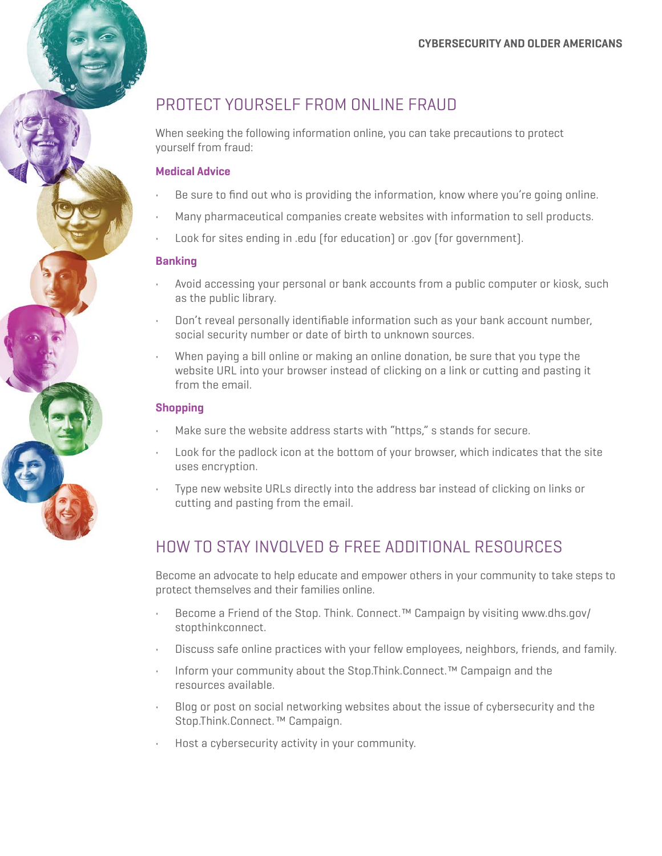### PROTECT YOURSELF FROM ONLINE FRAUD

When seeking the following information online, you can take precautions to protect yourself from fraud:

#### **Medical advice**

- • Be sure to find out who is providing the information, know where you're going online.
- • Many pharmaceutical companies create websites with information to sell products.
- • Look for sites ending in .edu (for education) or .gov (for government).

#### **Banking**

- • Avoid accessing your personal or bank accounts from a public computer or kiosk, such as the public library.
- • Don't reveal personally identifiable information such as your bank account number, social security number or date of birth to unknown sources.
- • When paying a bill online or making an online donation, be sure that you type the website URL into your browser instead of clicking on a link or cutting and pasting it from the email.

#### **Shopping**

- • Make sure the website address starts with "https," s stands for secure.
- • Look for the padlock icon at the bottom of your browser, which indicates that the site uses encryption.
- • Type new website URLs directly into the address bar instead of clicking on links or cutting and pasting from the email.

## HOW TO STAY INVOLVED & FREE ADDITIONAL RESOURCES

Become an advocate to help educate and empower others in your community to take steps to protect themselves and their families online.

- • Become a Friend of the Stop. Think. Connect.™ Campaign by visiting www.dhs.gov/ stopthinkconnect.
- • Discuss safe online practices with your fellow employees, neighbors, friends, and family.
- • Inform your community about the Stop.Think.Connect.™ Campaign and the resources available.
- • Blog or post on social networking websites about the issue of cybersecurity and the Stop.Think.Connect. ™ Campaign.
- • Host a cybersecurity activity in your community.